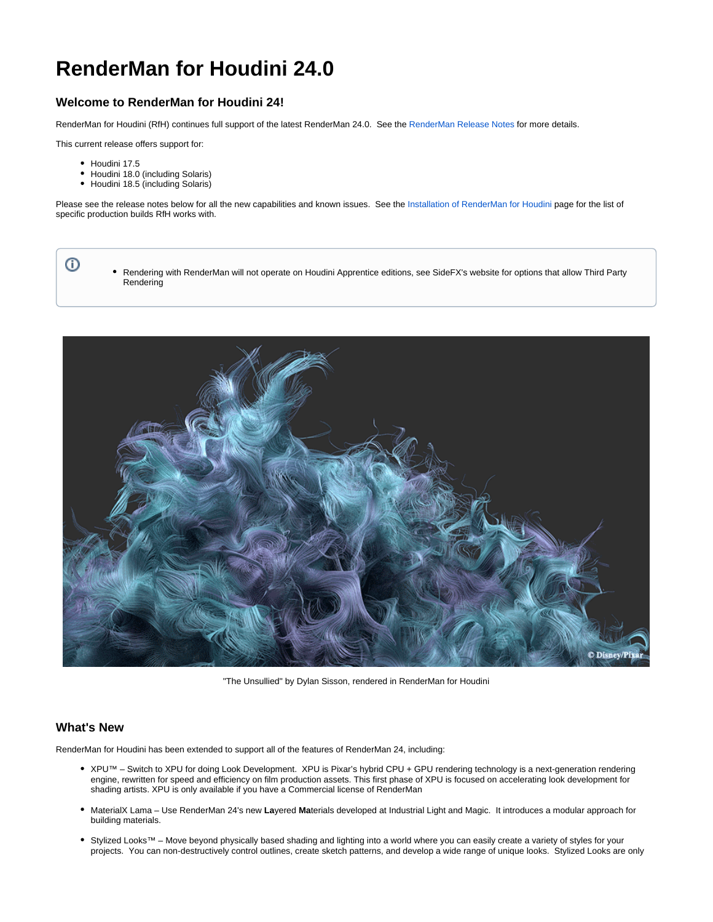# **RenderMan for Houdini 24.0**

# **Welcome to RenderMan for Houdini 24!**

RenderMan for Houdini (RfH) continues full support of the latest RenderMan 24.0. See the [RenderMan Release Notes](https://rmanwiki.pixar.com/display/REN24/RenderMan+Release+Notes) for more details.

This current release offers support for:

• Houdini 17.5

⊙

- Houdini 18.0 (including Solaris)
- Houdini 18.5 (including Solaris)

Please see the release notes below for all the new capabilities and known issues. See the [Installation of RenderMan for Houdini](https://rmanwiki.pixar.com/display/RFH24/Installation+of+RenderMan+for+Houdini) page for the list of specific production builds RfH works with.

Rendering with RenderMan will not operate on Houdini Apprentice editions, see SideFX's website for options that allow Third Party Rendering



"The Unsullied" by Dylan Sisson, rendered in RenderMan for Houdini

#### **What's New**

RenderMan for Houdini has been extended to support all of the features of RenderMan 24, including:

- . XPU™ Switch to XPU for doing Look Development. XPU is Pixar's hybrid CPU + GPU rendering technology is a next-generation rendering engine, rewritten for speed and efficiency on film production assets. This first phase of XPU is focused on accelerating look development for shading artists. XPU is only available if you have a Commercial license of RenderMan
- MaterialX Lama Use RenderMan 24's new **La**yered **Ma**terials developed at Industrial Light and Magic. It introduces a modular approach for building materials.
- . Stylized Looks™ Move beyond physically based shading and lighting into a world where you can easily create a variety of styles for your projects. You can non-destructively control outlines, create sketch patterns, and develop a wide range of unique looks. Stylized Looks are only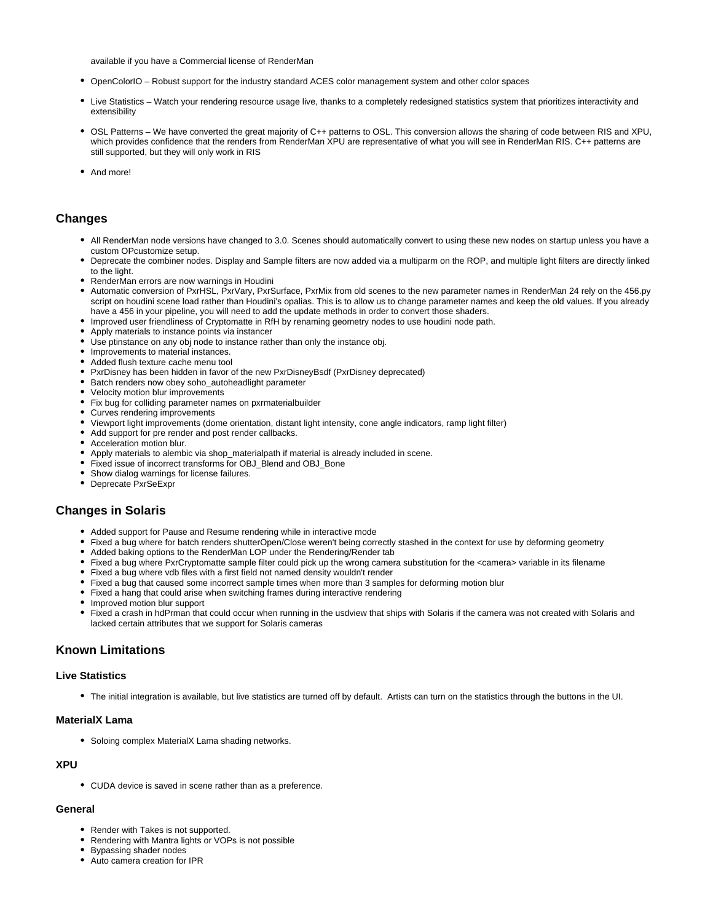available if you have a Commercial license of RenderMan

- OpenColorIO Robust support for the industry standard ACES color management system and other color spaces
- Live Statistics Watch your rendering resource usage live, thanks to a completely redesigned statistics system that prioritizes interactivity and extensibility
- OSL Patterns We have converted the great majority of C++ patterns to OSL. This conversion allows the sharing of code between RIS and XPU, which provides confidence that the renders from RenderMan XPU are representative of what you will see in RenderMan RIS. C++ patterns are still supported, but they will only work in RIS
- And more!

## **Changes**

- All RenderMan node versions have changed to 3.0. Scenes should automatically convert to using these new nodes on startup unless you have a custom OPcustomize setup.
- Deprecate the combiner nodes. Display and Sample filters are now added via a multiparm on the ROP, and multiple light filters are directly linked to the light.
- RenderMan errors are now warnings in Houdini
- Automatic conversion of PxrHSL, PxrVary, PxrSurface, PxrMix from old scenes to the new parameter names in RenderMan 24 rely on the 456.py script on houdini scene load rather than Houdini's opalias. This is to allow us to change parameter names and keep the old values. If you already have a 456 in your pipeline, you will need to add the update methods in order to convert those shaders.
- Improved user friendliness of Cryptomatte in RfH by renaming geometry nodes to use houdini node path.
- Apply materials to instance points via instancer
- Use ptinstance on any obj node to instance rather than only the instance obj.
- Improvements to material instances.
- Added flush texture cache menu tool
- PxrDisney has been hidden in favor of the new PxrDisneyBsdf (PxrDisney deprecated)
- Batch renders now obey soho\_autoheadlight parameter
- Velocity motion blur improvements
- Fix bug for colliding parameter names on pxrmaterialbuilder
- Curves rendering improvements
- Viewport light improvements (dome orientation, distant light intensity, cone angle indicators, ramp light filter)
- Add support for pre render and post render callbacks.
- Acceleration motion blur.
- Apply materials to alembic via shop\_materialpath if material is already included in scene.
- Fixed issue of incorrect transforms for OBJ\_Blend and OBJ\_Bone
- Show dialog warnings for license failures.
- Deprecate PxrSeExpr

## **Changes in Solaris**

- Added support for Pause and Resume rendering while in interactive mode
- Fixed a bug where for batch renders shutterOpen/Close weren't being correctly stashed in the context for use by deforming geometry
- Added baking options to the RenderMan LOP under the Rendering/Render tab
- Fixed a bug where PxrCryptomatte sample filter could pick up the wrong camera substitution for the <camera> variable in its filename
- Fixed a bug where vdb files with a first field not named density wouldn't render
- Fixed a bug that caused some incorrect sample times when more than 3 samples for deforming motion blur
- Fixed a hang that could arise when switching frames during interactive rendering
- Improved motion blur support
- Fixed a crash in hdPrman that could occur when running in the usdview that ships with Solaris if the camera was not created with Solaris and lacked certain attributes that we support for Solaris cameras

## **Known Limitations**

#### **Live Statistics**

The initial integration is available, but live statistics are turned off by default. Artists can turn on the statistics through the buttons in the UI.

#### **MaterialX Lama**

• Soloing complex MaterialX Lama shading networks.

#### **XPU**

CUDA device is saved in scene rather than as a preference.

#### **General**

- Render with Takes is not supported.
- Rendering with Mantra lights or VOPs is not possible
- Bypassing shader nodes
- Auto camera creation for IPR